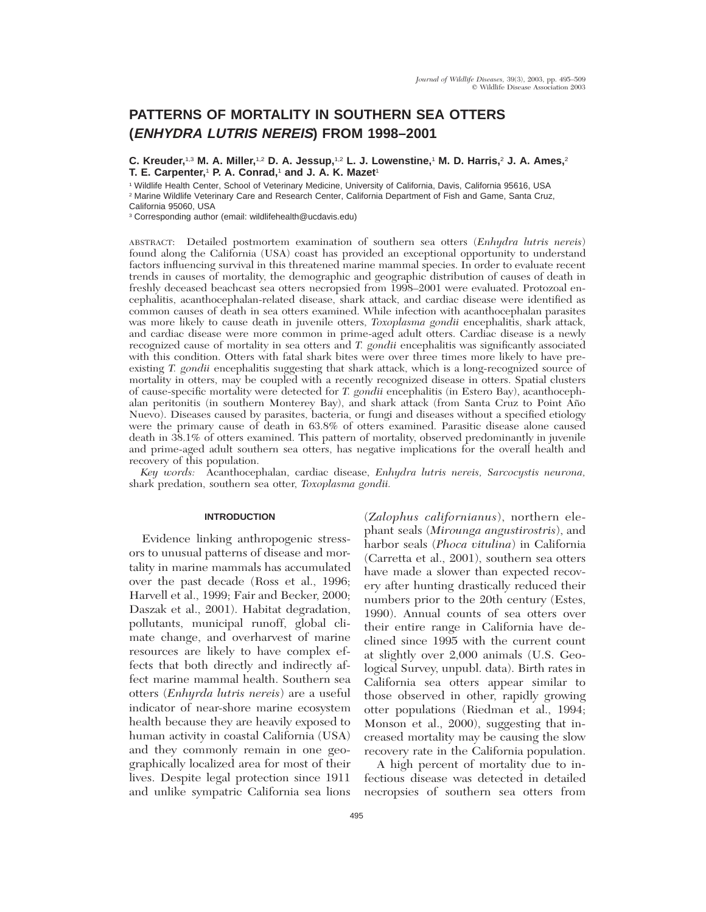# **PATTERNS OF MORTALITY IN SOUTHERN SEA OTTERS (ENHYDRA LUTRIS NEREIS) FROM 1998–2001**

**C. Kreuder,**1,3 **M. A. Miller,**1,2 **D. A. Jessup,**1,2 **L. J. Lowenstine,**<sup>1</sup> **M. D. Harris,**<sup>2</sup> **J. A. Ames,**<sup>2</sup> **T. E. Carpenter,**<sup>1</sup> **P. A. Conrad,**<sup>1</sup> **and J. A. K. Mazet**<sup>1</sup>

<sup>1</sup> Wildlife Health Center, School of Veterinary Medicine, University of California, Davis, California 95616, USA <sup>2</sup> Marine Wildlife Veterinary Care and Research Center, California Department of Fish and Game, Santa Cruz, California 95060, USA

<sup>3</sup> Corresponding author (email: wildlifehealth@ucdavis.edu)

ABSTRACT: Detailed postmortem examination of southern sea otters (*Enhydra lutris nereis*) found along the California (USA) coast has provided an exceptional opportunity to understand factors influencing survival in this threatened marine mammal species. In order to evaluate recent trends in causes of mortality, the demographic and geographic distribution of causes of death in freshly deceased beachcast sea otters necropsied from 1998–2001 were evaluated. Protozoal encephalitis, acanthocephalan-related disease, shark attack, and cardiac disease were identified as common causes of death in sea otters examined. While infection with acanthocephalan parasites was more likely to cause death in juvenile otters, *Toxoplasma gondii* encephalitis, shark attack, and cardiac disease were more common in prime-aged adult otters. Cardiac disease is a newly recognized cause of mortality in sea otters and *T. gondii* encephalitis was significantly associated with this condition. Otters with fatal shark bites were over three times more likely to have preexisting *T. gondii* encephalitis suggesting that shark attack, which is a long-recognized source of mortality in otters, may be coupled with a recently recognized disease in otters. Spatial clusters of cause-specific mortality were detected for *T. gondii* encephalitis (in Estero Bay), acanthocephalan peritonitis (in southern Monterey Bay), and shark attack (from Santa Cruz to Point Año Nuevo). Diseases caused by parasites, bacteria, or fungi and diseases without a specified etiology were the primary cause of death in 63.8% of otters examined. Parasitic disease alone caused death in 38.1% of otters examined. This pattern of mortality, observed predominantly in juvenile and prime-aged adult southern sea otters, has negative implications for the overall health and recovery of this population.

*Key words:* Acanthocephalan, cardiac disease, *Enhydra lutris nereis, Sarcocystis neurona,* shark predation, southern sea otter, *Toxoplasma gondii.*

### **INTRODUCTION**

Evidence linking anthropogenic stressors to unusual patterns of disease and mortality in marine mammals has accumulated over the past decade (Ross et al., 1996; Harvell et al., 1999; Fair and Becker, 2000; Daszak et al., 2001). Habitat degradation, pollutants, municipal runoff, global climate change, and overharvest of marine resources are likely to have complex effects that both directly and indirectly affect marine mammal health. Southern sea otters (*Enhyrda lutris nereis*) are a useful indicator of near-shore marine ecosystem health because they are heavily exposed to human activity in coastal California (USA) and they commonly remain in one geographically localized area for most of their lives. Despite legal protection since 1911 and unlike sympatric California sea lions (*Zalophus californianus*), northern elephant seals (*Mirounga angustirostris*), and harbor seals (*Phoca vitulina*) in California (Carretta et al., 2001), southern sea otters have made a slower than expected recovery after hunting drastically reduced their numbers prior to the 20th century (Estes, 1990). Annual counts of sea otters over their entire range in California have declined since 1995 with the current count at slightly over 2,000 animals (U.S. Geological Survey, unpubl. data). Birth rates in California sea otters appear similar to those observed in other, rapidly growing otter populations (Riedman et al., 1994; Monson et al., 2000), suggesting that increased mortality may be causing the slow recovery rate in the California population.

A high percent of mortality due to infectious disease was detected in detailed necropsies of southern sea otters from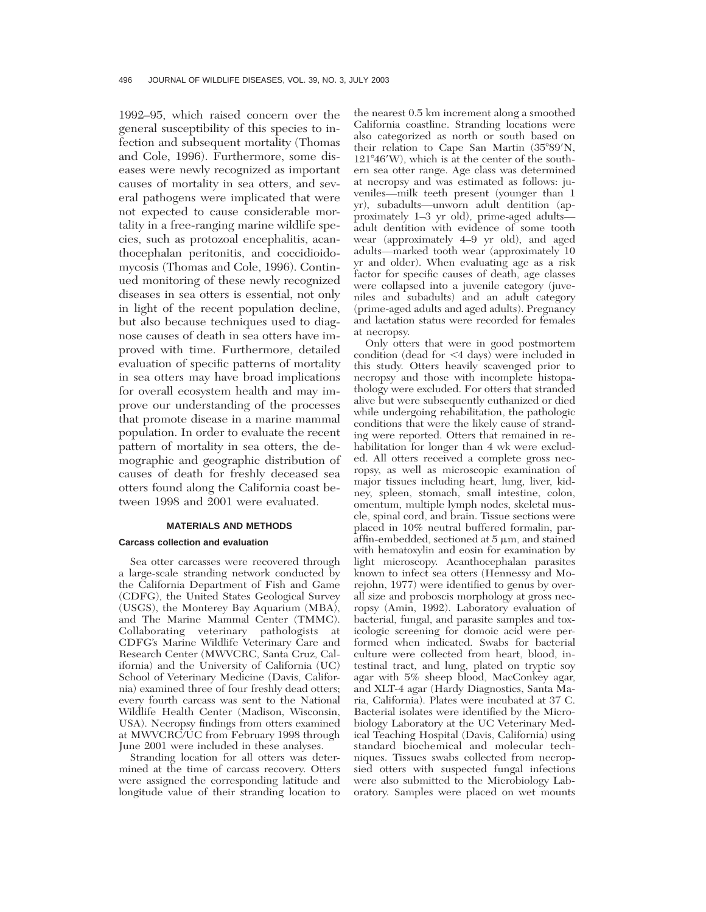1992–95, which raised concern over the general susceptibility of this species to infection and subsequent mortality (Thomas and Cole, 1996). Furthermore, some diseases were newly recognized as important causes of mortality in sea otters, and several pathogens were implicated that were not expected to cause considerable mortality in a free-ranging marine wildlife species, such as protozoal encephalitis, acanthocephalan peritonitis, and coccidioidomycosis (Thomas and Cole, 1996). Continued monitoring of these newly recognized diseases in sea otters is essential, not only in light of the recent population decline, but also because techniques used to diagnose causes of death in sea otters have improved with time. Furthermore, detailed evaluation of specific patterns of mortality in sea otters may have broad implications for overall ecosystem health and may improve our understanding of the processes that promote disease in a marine mammal population. In order to evaluate the recent pattern of mortality in sea otters, the demographic and geographic distribution of causes of death for freshly deceased sea otters found along the California coast between 1998 and 2001 were evaluated.

## **MATERIALS AND METHODS**

## **Carcass collection and evaluation**

Sea otter carcasses were recovered through a large-scale stranding network conducted by the California Department of Fish and Game (CDFG), the United States Geological Survey (USGS), the Monterey Bay Aquarium (MBA), and The Marine Mammal Center (TMMC). Collaborating veterinary pathologists at CDFG's Marine Wildlife Veterinary Care and Research Center (MWVCRC, Santa Cruz, California) and the University of California (UC) School of Veterinary Medicine (Davis, California) examined three of four freshly dead otters; every fourth carcass was sent to the National Wildlife Health Center (Madison, Wisconsin, USA). Necropsy findings from otters examined at MWVCRC/UC from February 1998 through June 2001 were included in these analyses.

Stranding location for all otters was determined at the time of carcass recovery. Otters were assigned the corresponding latitude and longitude value of their stranding location to the nearest 0.5 km increment along a smoothed California coastline. Stranding locations were also categorized as north or south based on their relation to Cape San Martin (35°89'N,  $121^{\circ}46'$ W), which is at the center of the southern sea otter range. Age class was determined at necropsy and was estimated as follows: juveniles—milk teeth present (younger than 1 yr), subadults—unworn adult dentition (approximately 1–3 yr old), prime-aged adults adult dentition with evidence of some tooth wear (approximately 4–9 yr old), and aged adults—marked tooth wear (approximately 10 yr and older). When evaluating age as a risk factor for specific causes of death, age classes were collapsed into a juvenile category (juveniles and subadults) and an adult category (prime-aged adults and aged adults). Pregnancy and lactation status were recorded for females at necropsy.

Only otters that were in good postmortem condition (dead for  $\leq 4$  days) were included in this study. Otters heavily scavenged prior to necropsy and those with incomplete histopathology were excluded. For otters that stranded alive but were subsequently euthanized or died while undergoing rehabilitation, the pathologic conditions that were the likely cause of stranding were reported. Otters that remained in rehabilitation for longer than 4 wk were excluded. All otters received a complete gross necropsy, as well as microscopic examination of major tissues including heart, lung, liver, kidney, spleen, stomach, small intestine, colon, omentum, multiple lymph nodes, skeletal muscle, spinal cord, and brain. Tissue sections were placed in 10% neutral buffered formalin, paraffin-embedded, sectioned at  $5 \mu m$ , and stained with hematoxylin and eosin for examination by light microscopy. Acanthocephalan parasites known to infect sea otters (Hennessy and Morejohn, 1977) were identified to genus by overall size and proboscis morphology at gross necropsy (Amin, 1992). Laboratory evaluation of bacterial, fungal, and parasite samples and toxicologic screening for domoic acid were performed when indicated. Swabs for bacterial culture were collected from heart, blood, intestinal tract, and lung, plated on tryptic soy agar with 5% sheep blood, MacConkey agar, and XLT-4 agar (Hardy Diagnostics, Santa Maria, California). Plates were incubated at 37 C. Bacterial isolates were identified by the Microbiology Laboratory at the UC Veterinary Medical Teaching Hospital (Davis, California) using standard biochemical and molecular techniques. Tissues swabs collected from necropsied otters with suspected fungal infections were also submitted to the Microbiology Laboratory. Samples were placed on wet mounts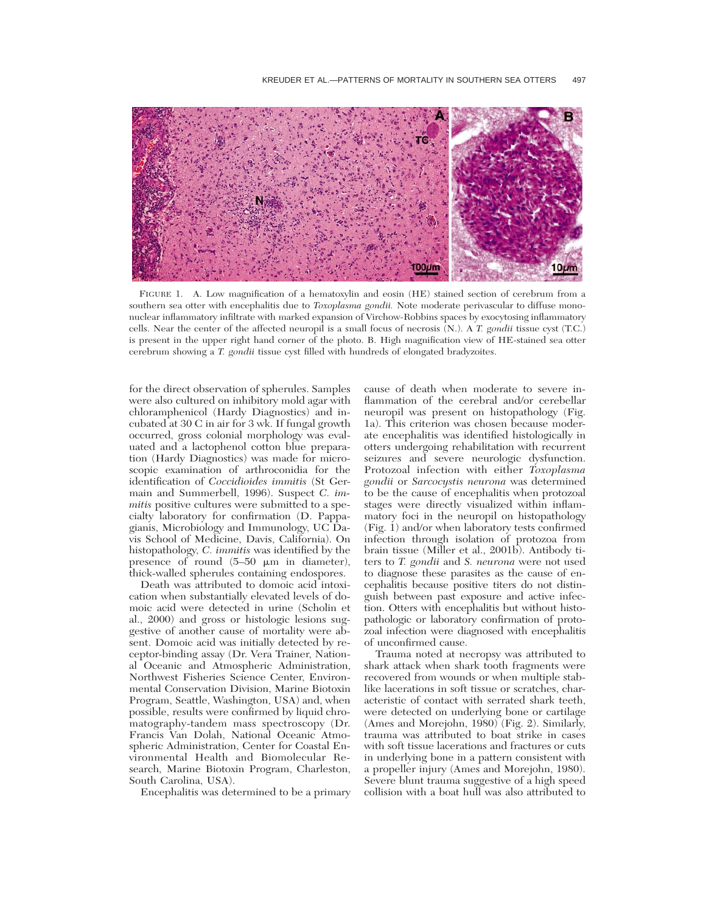

FIGURE 1. A. Low magnification of a hematoxylin and eosin (HE) stained section of cerebrum from a southern sea otter with encephalitis due to *Toxoplasma gondii*. Note moderate perivascular to diffuse mononuclear inflammatory infiltrate with marked expansion of Virchow-Robbins spaces by exocytosing inflammatory cells. Near the center of the affected neuropil is a small focus of necrosis (N.). A *T. gondii* tissue cyst (T.C.) is present in the upper right hand corner of the photo. B. High magnification view of HE-stained sea otter cerebrum showing a *T. gondii* tissue cyst filled with hundreds of elongated bradyzoites.

for the direct observation of spherules. Samples were also cultured on inhibitory mold agar with chloramphenicol (Hardy Diagnostics) and incubated at 30 C in air for 3 wk. If fungal growth occurred, gross colonial morphology was evaluated and a lactophenol cotton blue preparation (Hardy Diagnostics) was made for microscopic examination of arthroconidia for the identification of *Coccidioides immitis* (St Germain and Summerbell, 1996). Suspect *C. immitis* positive cultures were submitted to a specialty laboratory for confirmation (D. Pappagianis, Microbiology and Immunology, UC Davis School of Medicine, Davis, California). On histopathology, *C. immitis* was identified by the presence of round  $(5-50 \mu m)$  in diameter), thick-walled spherules containing endospores.

Death was attributed to domoic acid intoxication when substantially elevated levels of domoic acid were detected in urine (Scholin et al., 2000) and gross or histologic lesions suggestive of another cause of mortality were absent. Domoic acid was initially detected by receptor-binding assay (Dr. Vera Trainer, National Oceanic and Atmospheric Administration, Northwest Fisheries Science Center, Environmental Conservation Division, Marine Biotoxin Program, Seattle, Washington, USA) and, when possible, results were confirmed by liquid chromatography-tandem mass spectroscopy (Dr. Francis Van Dolah, National Oceanic Atmospheric Administration, Center for Coastal Environmental Health and Biomolecular Research, Marine Biotoxin Program, Charleston, South Carolina, USA).

Encephalitis was determined to be a primary

cause of death when moderate to severe inflammation of the cerebral and/or cerebellar neuropil was present on histopathology (Fig. 1a). This criterion was chosen because moderate encephalitis was identified histologically in otters undergoing rehabilitation with recurrent seizures and severe neurologic dysfunction. Protozoal infection with either *Toxoplasma gondii* or *Sarcocystis neurona* was determined to be the cause of encephalitis when protozoal stages were directly visualized within inflammatory foci in the neuropil on histopathology (Fig. 1) and/or when laboratory tests confirmed infection through isolation of protozoa from brain tissue (Miller et al., 2001b). Antibody titers to *T. gondii* and *S. neurona* were not used to diagnose these parasites as the cause of encephalitis because positive titers do not distinguish between past exposure and active infection. Otters with encephalitis but without histopathologic or laboratory confirmation of protozoal infection were diagnosed with encephalitis of unconfirmed cause.

Trauma noted at necropsy was attributed to shark attack when shark tooth fragments were recovered from wounds or when multiple stablike lacerations in soft tissue or scratches, characteristic of contact with serrated shark teeth, were detected on underlying bone or cartilage (Ames and Morejohn, 1980) (Fig. 2). Similarly, trauma was attributed to boat strike in cases with soft tissue lacerations and fractures or cuts in underlying bone in a pattern consistent with a propeller injury (Ames and Morejohn, 1980). Severe blunt trauma suggestive of a high speed collision with a boat hull was also attributed to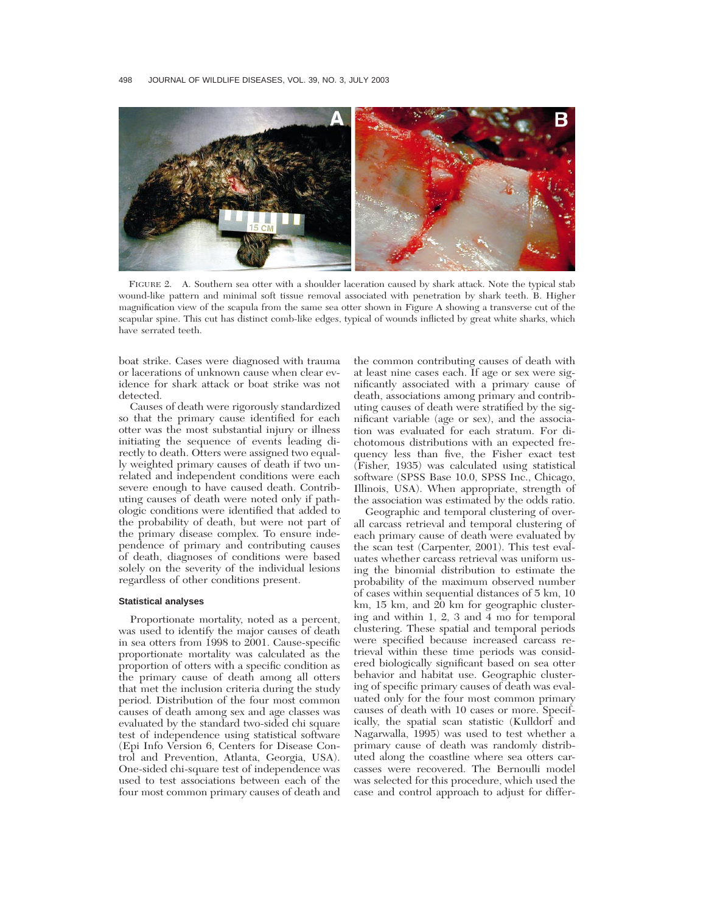

FIGURE 2. A. Southern sea otter with a shoulder laceration caused by shark attack. Note the typical stab wound-like pattern and minimal soft tissue removal associated with penetration by shark teeth. B. Higher magnification view of the scapula from the same sea otter shown in Figure A showing a transverse cut of the scapular spine. This cut has distinct comb-like edges, typical of wounds inflicted by great white sharks, which have serrated teeth.

boat strike. Cases were diagnosed with trauma or lacerations of unknown cause when clear evidence for shark attack or boat strike was not detected.

Causes of death were rigorously standardized so that the primary cause identified for each otter was the most substantial injury or illness initiating the sequence of events leading directly to death. Otters were assigned two equally weighted primary causes of death if two unrelated and independent conditions were each severe enough to have caused death. Contributing causes of death were noted only if pathologic conditions were identified that added to the probability of death, but were not part of the primary disease complex. To ensure independence of primary and contributing causes of death, diagnoses of conditions were based solely on the severity of the individual lesions regardless of other conditions present.

## **Statistical analyses**

Proportionate mortality, noted as a percent, was used to identify the major causes of death in sea otters from 1998 to 2001. Cause-specific proportionate mortality was calculated as the proportion of otters with a specific condition as the primary cause of death among all otters that met the inclusion criteria during the study period. Distribution of the four most common causes of death among sex and age classes was evaluated by the standard two-sided chi square test of independence using statistical software (Epi Info Version 6, Centers for Disease Control and Prevention, Atlanta, Georgia, USA). One-sided chi-square test of independence was used to test associations between each of the four most common primary causes of death and

the common contributing causes of death with at least nine cases each. If age or sex were significantly associated with a primary cause of death, associations among primary and contributing causes of death were stratified by the significant variable (age or sex), and the association was evaluated for each stratum. For dichotomous distributions with an expected frequency less than five, the Fisher exact test (Fisher, 1935) was calculated using statistical software (SPSS Base 10.0, SPSS Inc., Chicago, Illinois, USA). When appropriate, strength of the association was estimated by the odds ratio.

Geographic and temporal clustering of overall carcass retrieval and temporal clustering of each primary cause of death were evaluated by the scan test (Carpenter, 2001). This test evaluates whether carcass retrieval was uniform using the binomial distribution to estimate the probability of the maximum observed number of cases within sequential distances of 5 km, 10 km, 15 km, and 20 km for geographic clustering and within 1, 2, 3 and 4 mo for temporal clustering. These spatial and temporal periods were specified because increased carcass retrieval within these time periods was considered biologically significant based on sea otter behavior and habitat use. Geographic clustering of specific primary causes of death was evaluated only for the four most common primary causes of death with 10 cases or more. Specifically, the spatial scan statistic (Kulldorf and Nagarwalla, 1995) was used to test whether a primary cause of death was randomly distributed along the coastline where sea otters carcasses were recovered. The Bernoulli model was selected for this procedure, which used the case and control approach to adjust for differ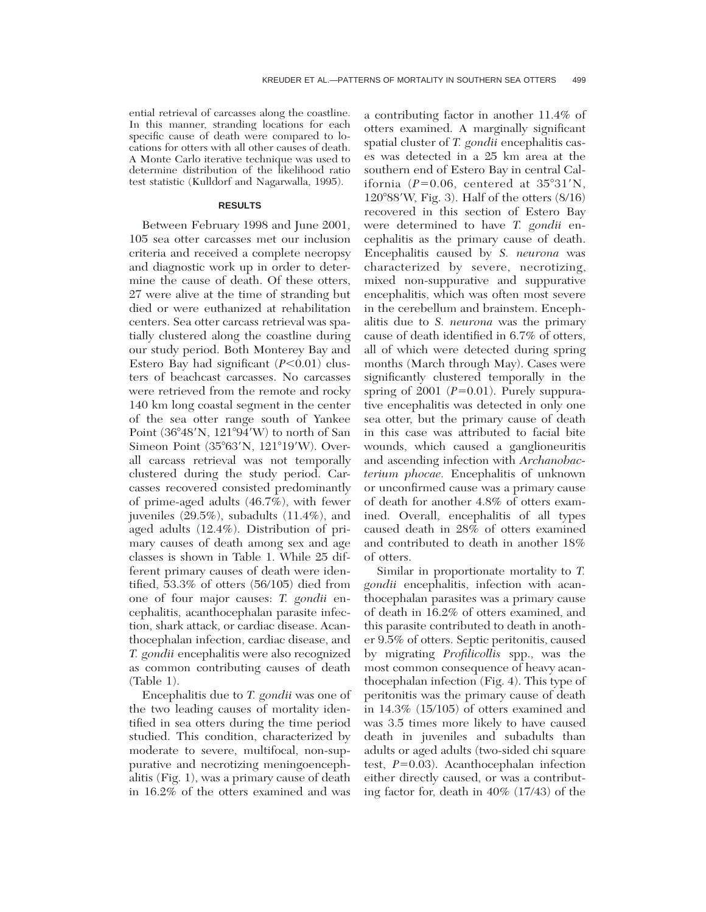ential retrieval of carcasses along the coastline. In this manner, stranding locations for each specific cause of death were compared to locations for otters with all other causes of death. A Monte Carlo iterative technique was used to determine distribution of the likelihood ratio test statistic (Kulldorf and Nagarwalla, 1995).

## **RESULTS**

Between February 1998 and June 2001, 105 sea otter carcasses met our inclusion criteria and received a complete necropsy and diagnostic work up in order to determine the cause of death. Of these otters, 27 were alive at the time of stranding but died or were euthanized at rehabilitation centers. Sea otter carcass retrieval was spatially clustered along the coastline during our study period. Both Monterey Bay and Estero Bay had significant  $(P<0.01)$  clusters of beachcast carcasses. No carcasses were retrieved from the remote and rocky 140 km long coastal segment in the center of the sea otter range south of Yankee Point  $(36°48'N, 121°94'W)$  to north of San Simeon Point  $(35^{\circ}63'N, 121^{\circ}19'W)$ . Overall carcass retrieval was not temporally clustered during the study period. Carcasses recovered consisted predominantly of prime-aged adults (46.7%), with fewer juveniles (29.5%), subadults (11.4%), and aged adults (12.4%). Distribution of primary causes of death among sex and age classes is shown in Table 1. While 25 different primary causes of death were identified, 53.3% of otters (56/105) died from one of four major causes: *T. gondii* encephalitis, acanthocephalan parasite infection, shark attack, or cardiac disease. Acanthocephalan infection, cardiac disease, and *T. gondii* encephalitis were also recognized as common contributing causes of death (Table 1).

Encephalitis due to *T. gondii* was one of the two leading causes of mortality identified in sea otters during the time period studied. This condition, characterized by moderate to severe, multifocal, non-suppurative and necrotizing meningoencephalitis (Fig. 1), was a primary cause of death in 16.2% of the otters examined and was

a contributing factor in another 11.4% of otters examined. A marginally significant spatial cluster of *T. gondii* encephalitis cases was detected in a 25 km area at the southern end of Estero Bay in central California  $(P=0.06$ , centered at  $35^{\circ}31'N$ ,  $120^{\circ}88'$ W, Fig. 3). Half of the otters  $(8/16)$ recovered in this section of Estero Bay were determined to have *T. gondii* encephalitis as the primary cause of death. Encephalitis caused by *S. neurona* was characterized by severe, necrotizing, mixed non-suppurative and suppurative encephalitis, which was often most severe in the cerebellum and brainstem. Encephalitis due to *S. neurona* was the primary cause of death identified in 6.7% of otters, all of which were detected during spring months (March through May). Cases were significantly clustered temporally in the spring of  $2001$  ( $P=0.01$ ). Purely suppurative encephalitis was detected in only one sea otter, but the primary cause of death in this case was attributed to facial bite wounds, which caused a ganglioneuritis and ascending infection with *Archanobacterium phocae.* Encephalitis of unknown or unconfirmed cause was a primary cause of death for another 4.8% of otters examined. Overall, encephalitis of all types caused death in 28% of otters examined and contributed to death in another 18% of otters.

Similar in proportionate mortality to *T. gondii* encephalitis, infection with acanthocephalan parasites was a primary cause of death in 16.2% of otters examined, and this parasite contributed to death in another 9.5% of otters. Septic peritonitis, caused by migrating *Profilicollis* spp., was the most common consequence of heavy acanthocephalan infection (Fig. 4). This type of peritonitis was the primary cause of death in 14.3% (15/105) of otters examined and was 3.5 times more likely to have caused death in juveniles and subadults than adults or aged adults (two-sided chi square test,  $P=0.03$ ). Acanthocephalan infection either directly caused, or was a contributing factor for, death in 40% (17/43) of the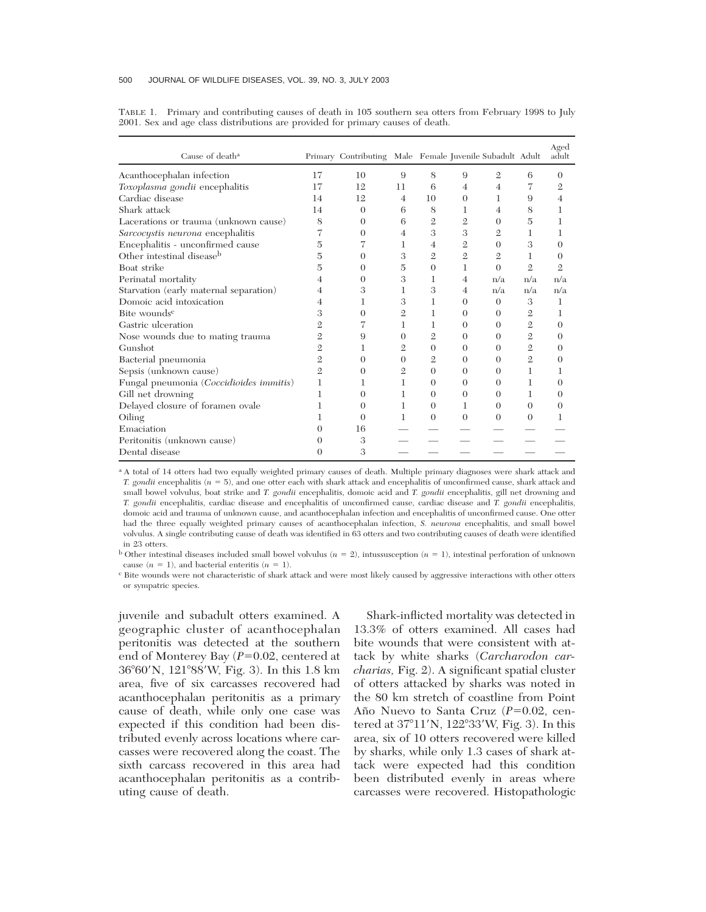#### 500 JOURNAL OF WILDLIFE DISEASES, VOL. 39, NO. 3, JULY 2003

| Cause of death <sup>a</sup>             |              | Primary Contributing Male Female Juvenile Subadult Adult |                |                |                |                |                | Aged<br>adult  |
|-----------------------------------------|--------------|----------------------------------------------------------|----------------|----------------|----------------|----------------|----------------|----------------|
| Acanthocephalan infection               | 17           | 10                                                       | 9              | 8              | 9              | 2              | 6              | $\theta$       |
| Toxoplasma gondii encephalitis          | 17           | 12                                                       | 11             | 6              | 4              | 4              | 7              | 2              |
| Cardiac disease                         | 14           | 12                                                       | 4              | 10             | $\theta$       | 1              | 9              | 4              |
| Shark attack                            | 14           | $\Omega$                                                 | 6              | 8              | 1              | 4              | 8              |                |
| Lacerations or trauma (unknown cause)   | 8            | $\theta$                                                 | 6              | $\overline{2}$ | 2              | 0              | 5              |                |
| Sarcocystis neurona encephalitis        | 7            | $\Omega$                                                 | $\overline{4}$ | 3              | 3              | 2              | 1              |                |
| Encephalitis - unconfirmed cause        | 5            | 7                                                        | 1              | 4              | 2              | 0              | 3              | $\Omega$       |
| Other intestinal disease <sup>b</sup>   | 5            | $\Omega$                                                 | 3              | $\mathfrak{2}$ | 2              | 2              | 1              | $\Omega$       |
| Boat strike                             | 5            | $\Omega$                                                 | 5              | $\overline{0}$ | 1              | $\overline{0}$ | 9.             | $\mathfrak{2}$ |
| Perinatal mortality                     | 4            | $\Omega$                                                 | 3              | 1              | $\overline{4}$ | n/a            | n/a            | n/a            |
| Starvation (early maternal separation)  | 4            | 3                                                        | 1              | 3              | 4              | n/a            | n/a            | n/a            |
| Domoic acid intoxication                | 4            | 1                                                        | 3              | 1              | $\Omega$       | 0              | 3              | 1              |
| Bite wounds <sup>c</sup>                | 3            | $\Omega$                                                 | 2              | 1              | $\Omega$       | $\Omega$       | 2              | 1              |
| Gastric ulceration                      | 2            | 7                                                        | 1              | 1              | $\theta$       | 0              | 2              | $\Omega$       |
| Nose wounds due to mating trauma        | 2            | 9                                                        | $\Omega$       | $\overline{2}$ | $\Omega$       | $\Omega$       | $\overline{2}$ | $\Omega$       |
| Gunshot                                 | 2            | 1                                                        | 2              | $\Omega$       | $\Omega$       | $\Omega$       | $\overline{2}$ | $\Omega$       |
| Bacterial pneumonia                     | 2            | $\Omega$                                                 | 0              | $\mathfrak{2}$ | $\Omega$       | 0              | $\overline{2}$ | $\Omega$       |
| Sepsis (unknown cause)                  | 2            | $\Omega$                                                 | $\overline{2}$ | $\Omega$       | $\theta$       | 0              | 1              | 1              |
| Fungal pneumonia (Coccidioides immitis) | 1            | 1                                                        | 1              | $\Omega$       | $\Omega$       | $\Omega$       | 1              | $\Omega$       |
| Gill net drowning                       | 1            | $\Omega$                                                 | 1              | $\Omega$       | $\Omega$       | $\Omega$       | 1              | $\Omega$       |
| Delayed closure of foramen ovale        |              | 0                                                        | 1              | $\Omega$       | 1              | $\Omega$       | $\Omega$       | $\Omega$       |
| Oiling                                  |              | 0                                                        | 1              | $\theta$       | $\theta$       | 0              | $\Omega$       |                |
| Emaciation                              | $\mathbf{0}$ | 16                                                       |                |                |                |                |                |                |
| Peritonitis (unknown cause)             |              | 3                                                        |                |                |                |                |                |                |
| Dental disease                          | $\Omega$     | 3                                                        |                |                |                |                |                |                |

TABLE 1. Primary and contributing causes of death in 105 southern sea otters from February 1998 to July 2001. Sex and age class distributions are provided for primary causes of death.

<sup>a</sup> A total of 14 otters had two equally weighted primary causes of death. Multiple primary diagnoses were shark attack and *T. gondii* encephalitis (*n* = 5), and one otter each with shark attack and encephalitis of unconfirmed cause, shark attack and small bowel volvulus, boat strike and *T. gondii* encephalitis, domoic acid and *T. gondii* encephalitis, gill net drowning and *T. gondii* encephalitis, cardiac disease and encephalitis of unconfirmed cause, cardiac disease and *T. gondii* encephalitis, domoic acid and trauma of unknown cause, and acanthocephalan infection and encephalitis of unconfirmed cause. One otter had the three equally weighted primary causes of acanthocephalan infection, *S. neurona* encephalitis, and small bowel volvulus. A single contributing cause of death was identified in 63 otters and two contributing causes of death were identified in 23 otters.

 $b$  Other intestinal diseases included small bowel volvulus  $(n = 2)$ , intussusception  $(n = 1)$ , intestinal perforation of unknown cause  $(n = 1)$ , and bacterial enteritis  $(n = 1)$ .

<sup>c</sup> Bite wounds were not characteristic of shark attack and were most likely caused by aggressive interactions with other otters or sympatric species.

juvenile and subadult otters examined. A geographic cluster of acanthocephalan peritonitis was detected at the southern end of Monterey Bay  $(P=0.02,$  centered at 36°60'N, 121°88'W, Fig. 3). In this 1.8 km area, five of six carcasses recovered had acanthocephalan peritonitis as a primary cause of death, while only one case was expected if this condition had been distributed evenly across locations where carcasses were recovered along the coast. The sixth carcass recovered in this area had acanthocephalan peritonitis as a contributing cause of death.

Shark-inflicted mortality was detected in 13.3% of otters examined. All cases had bite wounds that were consistent with attack by white sharks (*Carcharodon carcharias,* Fig. 2). A significant spatial cluster of otters attacked by sharks was noted in the 80 km stretch of coastline from Point Año Nuevo to Santa Cruz  $(P=0.02, \text{ cen}-1)$ tered at  $37^{\circ}11'N$ ,  $122^{\circ}33'W$ , Fig. 3). In this area, six of 10 otters recovered were killed by sharks, while only 1.3 cases of shark attack were expected had this condition been distributed evenly in areas where carcasses were recovered. Histopathologic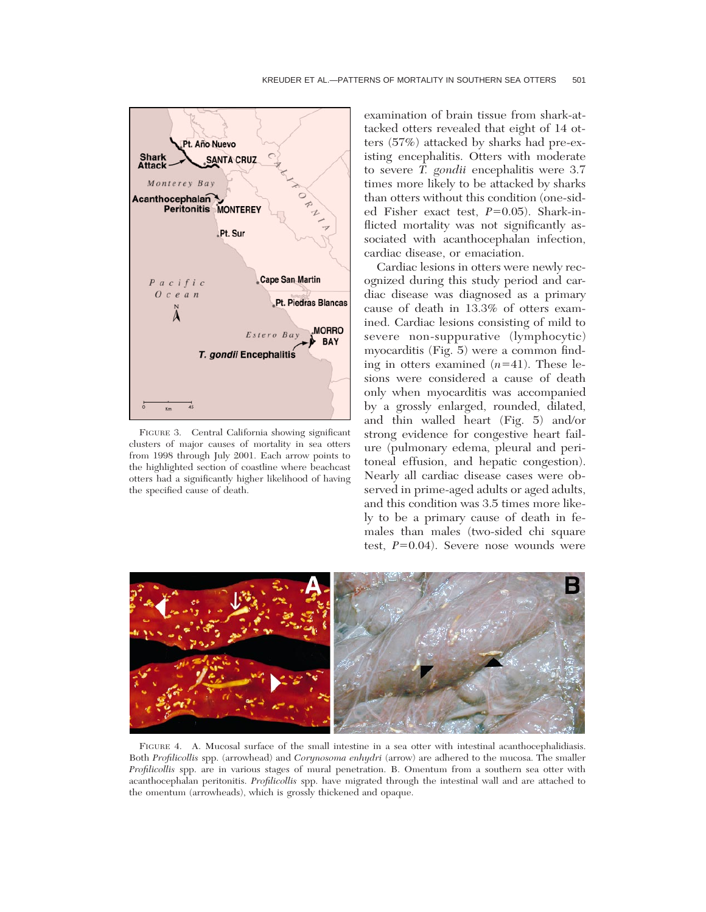

FIGURE 3. Central California showing significant clusters of major causes of mortality in sea otters from 1998 through July 2001. Each arrow points to the highlighted section of coastline where beachcast otters had a significantly higher likelihood of having the specified cause of death.

examination of brain tissue from shark-attacked otters revealed that eight of 14 otters (57%) attacked by sharks had pre-existing encephalitis. Otters with moderate to severe *T. gondii* encephalitis were 3.7 times more likely to be attacked by sharks than otters without this condition (one-sided Fisher exact test,  $P=0.05$ ). Shark-inflicted mortality was not significantly associated with acanthocephalan infection, cardiac disease, or emaciation.

Cardiac lesions in otters were newly recognized during this study period and cardiac disease was diagnosed as a primary cause of death in 13.3% of otters examined. Cardiac lesions consisting of mild to severe non-suppurative (lymphocytic) myocarditis (Fig. 5) were a common finding in otters examined  $(n=41)$ . These lesions were considered a cause of death only when myocarditis was accompanied by a grossly enlarged, rounded, dilated, and thin walled heart (Fig. 5) and/or strong evidence for congestive heart failure (pulmonary edema, pleural and peritoneal effusion, and hepatic congestion). Nearly all cardiac disease cases were observed in prime-aged adults or aged adults, and this condition was 3.5 times more likely to be a primary cause of death in females than males (two-sided chi square test,  $P=0.04$ ). Severe nose wounds were



FIGURE 4. A. Mucosal surface of the small intestine in a sea otter with intestinal acanthocephalidiasis. Both *Profilicollis* spp. (arrowhead) and *Corynosoma enhydri* (arrow) are adhered to the mucosa. The smaller *Profilicollis* spp. are in various stages of mural penetration. B. Omentum from a southern sea otter with acanthocephalan peritonitis. *Profilicollis* spp. have migrated through the intestinal wall and are attached to the omentum (arrowheads), which is grossly thickened and opaque.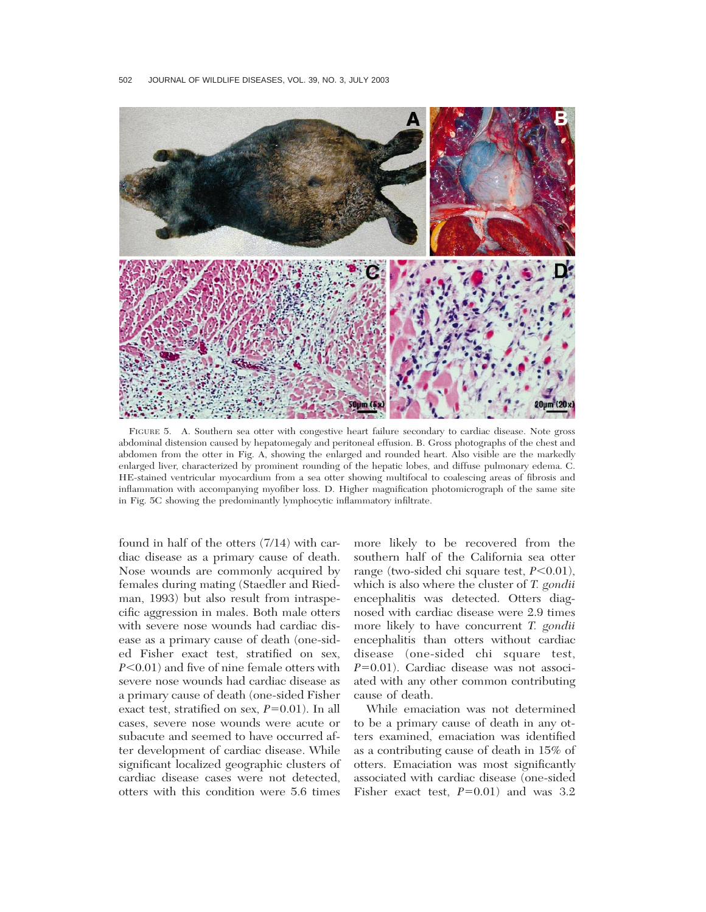

FIGURE 5. A. Southern sea otter with congestive heart failure secondary to cardiac disease. Note gross abdominal distension caused by hepatomegaly and peritoneal effusion. B. Gross photographs of the chest and abdomen from the otter in Fig. A, showing the enlarged and rounded heart. Also visible are the markedly enlarged liver, characterized by prominent rounding of the hepatic lobes, and diffuse pulmonary edema. C. HE-stained ventricular myocardium from a sea otter showing multifocal to coalescing areas of fibrosis and inflammation with accompanying myofiber loss. D. Higher magnification photomicrograph of the same site in Fig. 5C showing the predominantly lymphocytic inflammatory infiltrate.

found in half of the otters (7/14) with cardiac disease as a primary cause of death. Nose wounds are commonly acquired by females during mating (Staedler and Riedman, 1993) but also result from intraspecific aggression in males. Both male otters with severe nose wounds had cardiac disease as a primary cause of death (one-sided Fisher exact test, stratified on sex, *P*<0.01) and five of nine female otters with severe nose wounds had cardiac disease as a primary cause of death (one-sided Fisher exact test, stratified on sex,  $P=0.01$ ). In all cases, severe nose wounds were acute or subacute and seemed to have occurred after development of cardiac disease. While significant localized geographic clusters of cardiac disease cases were not detected, otters with this condition were 5.6 times more likely to be recovered from the southern half of the California sea otter range (two-sided chi square test,  $P<0.01$ ), which is also where the cluster of *T. gondii* encephalitis was detected. Otters diagnosed with cardiac disease were 2.9 times more likely to have concurrent *T. gondii* encephalitis than otters without cardiac disease (one-sided chi square test,  $P=0.01$ ). Cardiac disease was not associated with any other common contributing cause of death.

While emaciation was not determined to be a primary cause of death in any otters examined, emaciation was identified as a contributing cause of death in 15% of otters. Emaciation was most significantly associated with cardiac disease (one-sided Fisher exact test,  $P=0.01$ ) and was 3.2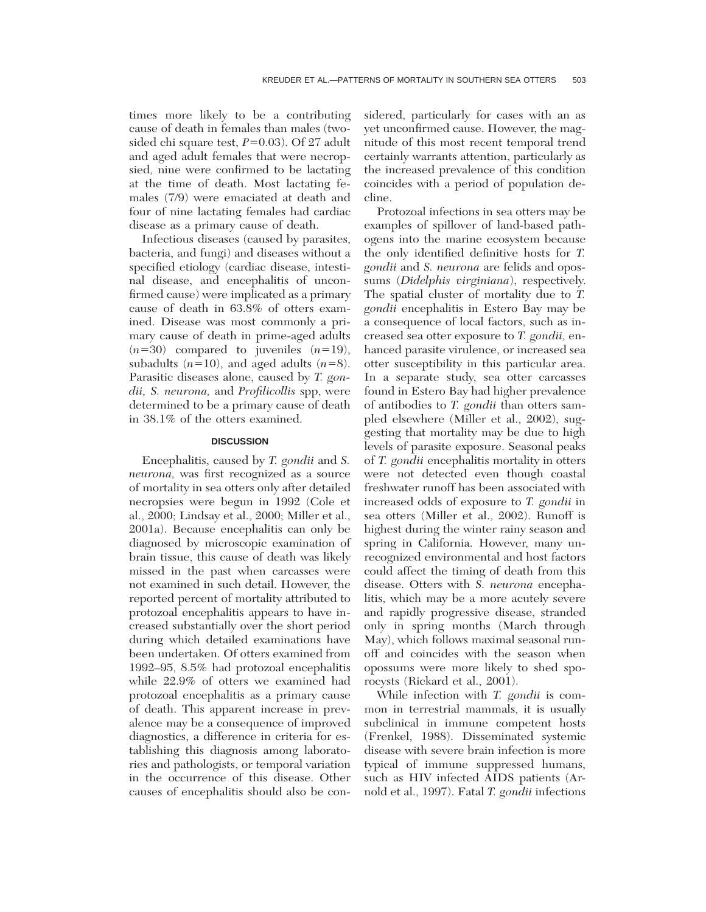times more likely to be a contributing cause of death in females than males (twosided chi square test,  $P=0.03$ ). Of 27 adult and aged adult females that were necropsied, nine were confirmed to be lactating at the time of death. Most lactating females (7/9) were emaciated at death and four of nine lactating females had cardiac disease as a primary cause of death.

Infectious diseases (caused by parasites, bacteria, and fungi) and diseases without a specified etiology (cardiac disease, intestinal disease, and encephalitis of unconfirmed cause) were implicated as a primary cause of death in 63.8% of otters examined. Disease was most commonly a primary cause of death in prime-aged adults  $(n=30)$  compared to juveniles  $(n=19)$ , subadults  $(n=10)$ , and aged adults  $(n=8)$ . Parasitic diseases alone, caused by *T. gondii, S. neurona,* and *Profilicollis* spp, were determined to be a primary cause of death in 38.1% of the otters examined.

# **DISCUSSION**

Encephalitis, caused by *T. gondii* and *S. neurona,* was first recognized as a source of mortality in sea otters only after detailed necropsies were begun in 1992 (Cole et al., 2000; Lindsay et al., 2000; Miller et al., 2001a). Because encephalitis can only be diagnosed by microscopic examination of brain tissue, this cause of death was likely missed in the past when carcasses were not examined in such detail. However, the reported percent of mortality attributed to protozoal encephalitis appears to have increased substantially over the short period during which detailed examinations have been undertaken. Of otters examined from 1992–95, 8.5% had protozoal encephalitis while 22.9% of otters we examined had protozoal encephalitis as a primary cause of death. This apparent increase in prevalence may be a consequence of improved diagnostics, a difference in criteria for establishing this diagnosis among laboratories and pathologists, or temporal variation in the occurrence of this disease. Other causes of encephalitis should also be considered, particularly for cases with an as yet unconfirmed cause. However, the magnitude of this most recent temporal trend certainly warrants attention, particularly as the increased prevalence of this condition coincides with a period of population decline.

Protozoal infections in sea otters may be examples of spillover of land-based pathogens into the marine ecosystem because the only identified definitive hosts for *T. gondii* and *S. neurona* are felids and opossums (*Didelphis virginiana*), respectively. The spatial cluster of mortality due to *T. gondii* encephalitis in Estero Bay may be a consequence of local factors, such as increased sea otter exposure to *T. gondii,* enhanced parasite virulence, or increased sea otter susceptibility in this particular area. In a separate study, sea otter carcasses found in Estero Bay had higher prevalence of antibodies to *T. gondii* than otters sampled elsewhere (Miller et al., 2002), suggesting that mortality may be due to high levels of parasite exposure. Seasonal peaks of *T. gondii* encephalitis mortality in otters were not detected even though coastal freshwater runoff has been associated with increased odds of exposure to *T. gondii* in sea otters (Miller et al., 2002). Runoff is highest during the winter rainy season and spring in California. However, many unrecognized environmental and host factors could affect the timing of death from this disease. Otters with *S. neurona* encephalitis, which may be a more acutely severe and rapidly progressive disease, stranded only in spring months (March through May), which follows maximal seasonal runoff and coincides with the season when opossums were more likely to shed sporocysts (Rickard et al., 2001).

While infection with *T. gondii* is common in terrestrial mammals, it is usually subclinical in immune competent hosts (Frenkel, 1988). Disseminated systemic disease with severe brain infection is more typical of immune suppressed humans, such as HIV infected AIDS patients (Arnold et al., 1997). Fatal *T. gondii* infections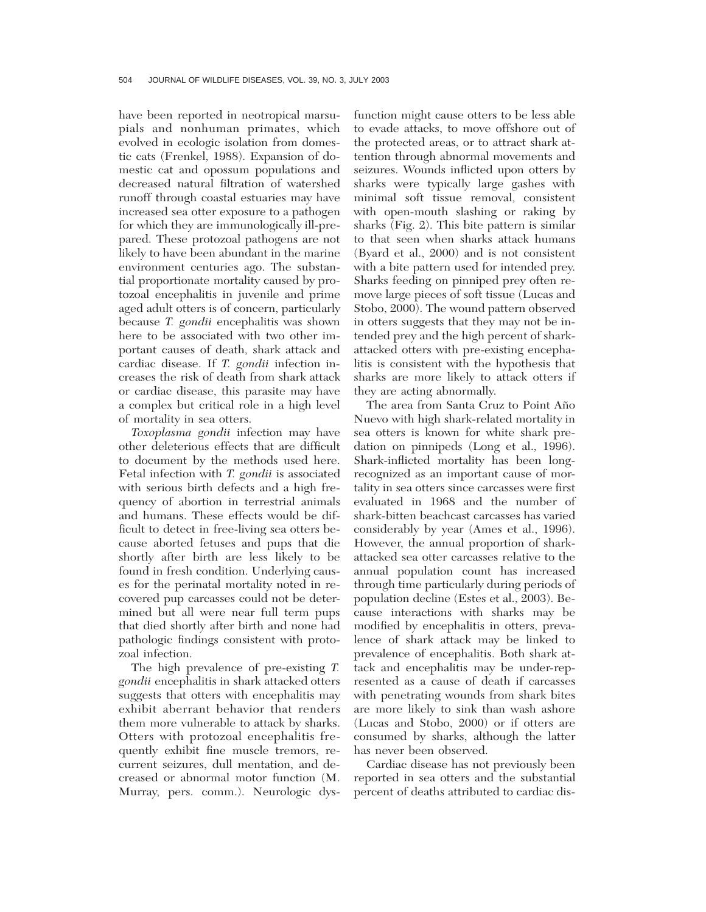have been reported in neotropical marsupials and nonhuman primates, which evolved in ecologic isolation from domestic cats (Frenkel, 1988). Expansion of domestic cat and opossum populations and decreased natural filtration of watershed runoff through coastal estuaries may have increased sea otter exposure to a pathogen for which they are immunologically ill-prepared. These protozoal pathogens are not likely to have been abundant in the marine environment centuries ago. The substantial proportionate mortality caused by protozoal encephalitis in juvenile and prime aged adult otters is of concern, particularly because *T. gondii* encephalitis was shown here to be associated with two other important causes of death, shark attack and cardiac disease. If *T. gondii* infection increases the risk of death from shark attack or cardiac disease, this parasite may have a complex but critical role in a high level of mortality in sea otters.

*Toxoplasma gondii* infection may have other deleterious effects that are difficult to document by the methods used here. Fetal infection with *T. gondii* is associated with serious birth defects and a high frequency of abortion in terrestrial animals and humans. These effects would be difficult to detect in free-living sea otters because aborted fetuses and pups that die shortly after birth are less likely to be found in fresh condition. Underlying causes for the perinatal mortality noted in recovered pup carcasses could not be determined but all were near full term pups that died shortly after birth and none had pathologic findings consistent with protozoal infection.

The high prevalence of pre-existing *T. gondii* encephalitis in shark attacked otters suggests that otters with encephalitis may exhibit aberrant behavior that renders them more vulnerable to attack by sharks. Otters with protozoal encephalitis frequently exhibit fine muscle tremors, recurrent seizures, dull mentation, and decreased or abnormal motor function (M. Murray, pers. comm.). Neurologic dysfunction might cause otters to be less able to evade attacks, to move offshore out of the protected areas, or to attract shark attention through abnormal movements and seizures. Wounds inflicted upon otters by sharks were typically large gashes with minimal soft tissue removal, consistent with open-mouth slashing or raking by sharks (Fig. 2). This bite pattern is similar to that seen when sharks attack humans (Byard et al., 2000) and is not consistent with a bite pattern used for intended prey. Sharks feeding on pinniped prey often remove large pieces of soft tissue (Lucas and Stobo, 2000). The wound pattern observed in otters suggests that they may not be intended prey and the high percent of sharkattacked otters with pre-existing encephalitis is consistent with the hypothesis that sharks are more likely to attack otters if they are acting abnormally.

The area from Santa Cruz to Point Año Nuevo with high shark-related mortality in sea otters is known for white shark predation on pinnipeds (Long et al., 1996). Shark-inflicted mortality has been longrecognized as an important cause of mortality in sea otters since carcasses were first evaluated in 1968 and the number of shark-bitten beachcast carcasses has varied considerably by year (Ames et al., 1996). However, the annual proportion of sharkattacked sea otter carcasses relative to the annual population count has increased through time particularly during periods of population decline (Estes et al., 2003). Because interactions with sharks may be modified by encephalitis in otters, prevalence of shark attack may be linked to prevalence of encephalitis. Both shark attack and encephalitis may be under-represented as a cause of death if carcasses with penetrating wounds from shark bites are more likely to sink than wash ashore (Lucas and Stobo, 2000) or if otters are consumed by sharks, although the latter has never been observed.

Cardiac disease has not previously been reported in sea otters and the substantial percent of deaths attributed to cardiac dis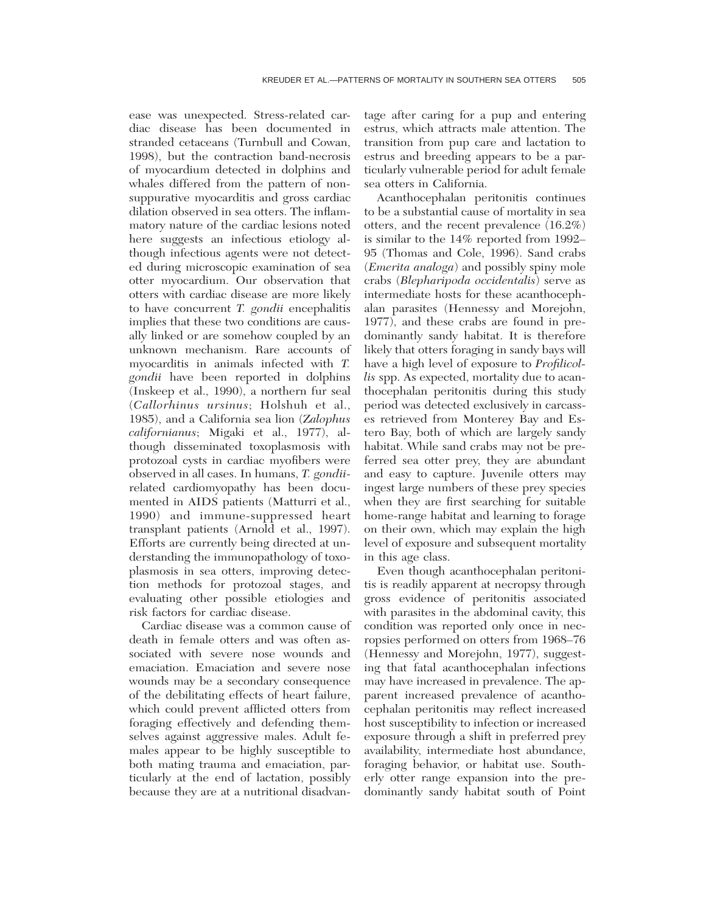ease was unexpected. Stress-related cardiac disease has been documented in stranded cetaceans (Turnbull and Cowan, 1998), but the contraction band-necrosis of myocardium detected in dolphins and whales differed from the pattern of nonsuppurative myocarditis and gross cardiac dilation observed in sea otters. The inflammatory nature of the cardiac lesions noted here suggests an infectious etiology although infectious agents were not detected during microscopic examination of sea otter myocardium. Our observation that otters with cardiac disease are more likely to have concurrent *T. gondii* encephalitis implies that these two conditions are causally linked or are somehow coupled by an unknown mechanism. Rare accounts of myocarditis in animals infected with *T. gondii* have been reported in dolphins (Inskeep et al., 1990), a northern fur seal (*Callorhinus ursinus*; Holshuh et al., 1985), and a California sea lion (*Zalophus californianus*; Migaki et al., 1977), although disseminated toxoplasmosis with protozoal cysts in cardiac myofibers were observed in all cases. In humans, *T. gondii*related cardiomyopathy has been documented in AIDS patients (Matturri et al., 1990) and immune-suppressed heart transplant patients (Arnold et al., 1997). Efforts are currently being directed at understanding the immunopathology of toxoplasmosis in sea otters, improving detection methods for protozoal stages, and evaluating other possible etiologies and risk factors for cardiac disease.

Cardiac disease was a common cause of death in female otters and was often associated with severe nose wounds and emaciation. Emaciation and severe nose wounds may be a secondary consequence of the debilitating effects of heart failure, which could prevent afflicted otters from foraging effectively and defending themselves against aggressive males. Adult females appear to be highly susceptible to both mating trauma and emaciation, particularly at the end of lactation, possibly because they are at a nutritional disadvantage after caring for a pup and entering estrus, which attracts male attention. The transition from pup care and lactation to estrus and breeding appears to be a particularly vulnerable period for adult female sea otters in California.

Acanthocephalan peritonitis continues to be a substantial cause of mortality in sea otters, and the recent prevalence (16.2%) is similar to the 14% reported from 1992– 95 (Thomas and Cole, 1996). Sand crabs (*Emerita analoga*) and possibly spiny mole crabs (*Blepharipoda occidentalis*) serve as intermediate hosts for these acanthocephalan parasites (Hennessy and Morejohn, 1977), and these crabs are found in predominantly sandy habitat. It is therefore likely that otters foraging in sandy bays will have a high level of exposure to *Profilicollis* spp. As expected, mortality due to acanthocephalan peritonitis during this study period was detected exclusively in carcasses retrieved from Monterey Bay and Estero Bay, both of which are largely sandy habitat. While sand crabs may not be preferred sea otter prey, they are abundant and easy to capture. Juvenile otters may ingest large numbers of these prey species when they are first searching for suitable home-range habitat and learning to forage on their own, which may explain the high level of exposure and subsequent mortality in this age class.

Even though acanthocephalan peritonitis is readily apparent at necropsy through gross evidence of peritonitis associated with parasites in the abdominal cavity, this condition was reported only once in necropsies performed on otters from 1968–76 (Hennessy and Morejohn, 1977), suggesting that fatal acanthocephalan infections may have increased in prevalence. The apparent increased prevalence of acanthocephalan peritonitis may reflect increased host susceptibility to infection or increased exposure through a shift in preferred prey availability, intermediate host abundance, foraging behavior, or habitat use. Southerly otter range expansion into the predominantly sandy habitat south of Point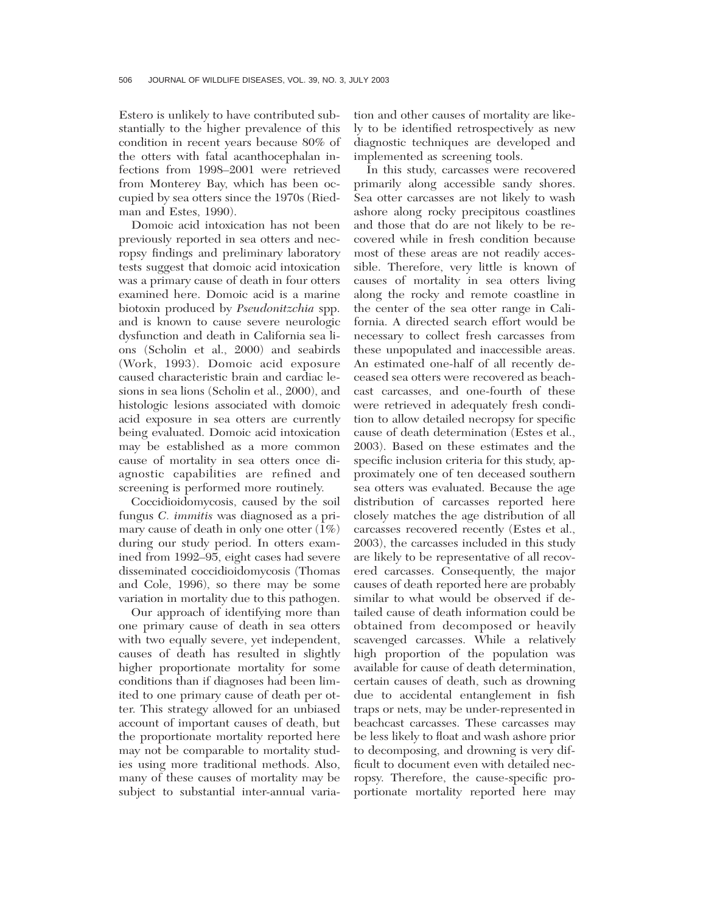Estero is unlikely to have contributed substantially to the higher prevalence of this condition in recent years because 80% of the otters with fatal acanthocephalan infections from 1998–2001 were retrieved from Monterey Bay, which has been occupied by sea otters since the 1970s (Riedman and Estes, 1990).

Domoic acid intoxication has not been previously reported in sea otters and necropsy findings and preliminary laboratory tests suggest that domoic acid intoxication was a primary cause of death in four otters examined here. Domoic acid is a marine biotoxin produced by *Pseudonitzchia* spp. and is known to cause severe neurologic dysfunction and death in California sea lions (Scholin et al., 2000) and seabirds (Work, 1993). Domoic acid exposure caused characteristic brain and cardiac lesions in sea lions (Scholin et al., 2000), and histologic lesions associated with domoic acid exposure in sea otters are currently being evaluated. Domoic acid intoxication may be established as a more common cause of mortality in sea otters once diagnostic capabilities are refined and screening is performed more routinely.

Coccidioidomycosis, caused by the soil fungus *C. immitis* was diagnosed as a primary cause of death in only one otter  $(1\%)$ during our study period. In otters examined from 1992–95, eight cases had severe disseminated coccidioidomycosis (Thomas and Cole, 1996), so there may be some variation in mortality due to this pathogen.

Our approach of identifying more than one primary cause of death in sea otters with two equally severe, yet independent, causes of death has resulted in slightly higher proportionate mortality for some conditions than if diagnoses had been limited to one primary cause of death per otter. This strategy allowed for an unbiased account of important causes of death, but the proportionate mortality reported here may not be comparable to mortality studies using more traditional methods. Also, many of these causes of mortality may be subject to substantial inter-annual variation and other causes of mortality are likely to be identified retrospectively as new diagnostic techniques are developed and implemented as screening tools.

In this study, carcasses were recovered primarily along accessible sandy shores. Sea otter carcasses are not likely to wash ashore along rocky precipitous coastlines and those that do are not likely to be recovered while in fresh condition because most of these areas are not readily accessible. Therefore, very little is known of causes of mortality in sea otters living along the rocky and remote coastline in the center of the sea otter range in California. A directed search effort would be necessary to collect fresh carcasses from these unpopulated and inaccessible areas. An estimated one-half of all recently deceased sea otters were recovered as beachcast carcasses, and one-fourth of these were retrieved in adequately fresh condition to allow detailed necropsy for specific cause of death determination (Estes et al., 2003). Based on these estimates and the specific inclusion criteria for this study, approximately one of ten deceased southern sea otters was evaluated. Because the age distribution of carcasses reported here closely matches the age distribution of all carcasses recovered recently (Estes et al., 2003), the carcasses included in this study are likely to be representative of all recovered carcasses. Consequently, the major causes of death reported here are probably similar to what would be observed if detailed cause of death information could be obtained from decomposed or heavily scavenged carcasses. While a relatively high proportion of the population was available for cause of death determination, certain causes of death, such as drowning due to accidental entanglement in fish traps or nets, may be under-represented in beachcast carcasses. These carcasses may be less likely to float and wash ashore prior to decomposing, and drowning is very difficult to document even with detailed necropsy. Therefore, the cause-specific proportionate mortality reported here may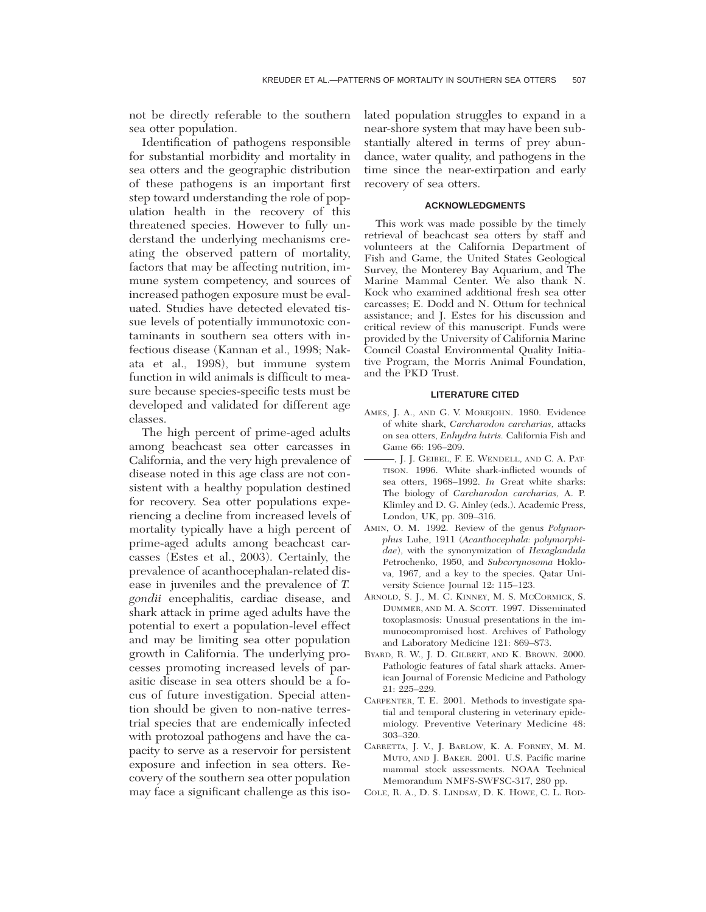not be directly referable to the southern sea otter population.

Identification of pathogens responsible for substantial morbidity and mortality in sea otters and the geographic distribution of these pathogens is an important first step toward understanding the role of population health in the recovery of this threatened species. However to fully understand the underlying mechanisms creating the observed pattern of mortality, factors that may be affecting nutrition, immune system competency, and sources of increased pathogen exposure must be evaluated. Studies have detected elevated tissue levels of potentially immunotoxic contaminants in southern sea otters with infectious disease (Kannan et al., 1998; Nakata et al., 1998), but immune system function in wild animals is difficult to measure because species-specific tests must be developed and validated for different age classes.

The high percent of prime-aged adults among beachcast sea otter carcasses in California, and the very high prevalence of disease noted in this age class are not consistent with a healthy population destined for recovery. Sea otter populations experiencing a decline from increased levels of mortality typically have a high percent of prime-aged adults among beachcast carcasses (Estes et al., 2003). Certainly, the prevalence of acanthocephalan-related disease in juveniles and the prevalence of *T. gondii* encephalitis, cardiac disease, and shark attack in prime aged adults have the potential to exert a population-level effect and may be limiting sea otter population growth in California. The underlying processes promoting increased levels of parasitic disease in sea otters should be a focus of future investigation. Special attention should be given to non-native terrestrial species that are endemically infected with protozoal pathogens and have the capacity to serve as a reservoir for persistent exposure and infection in sea otters. Recovery of the southern sea otter population may face a significant challenge as this isolated population struggles to expand in a near-shore system that may have been substantially altered in terms of prey abundance, water quality, and pathogens in the time since the near-extirpation and early recovery of sea otters.

## **ACKNOWLEDGMENTS**

This work was made possible by the timely retrieval of beachcast sea otters by staff and volunteers at the California Department of Fish and Game, the United States Geological Survey, the Monterey Bay Aquarium, and The Marine Mammal Center. We also thank N. Kock who examined additional fresh sea otter carcasses; E. Dodd and N. Ottum for technical assistance; and J. Estes for his discussion and critical review of this manuscript. Funds were provided by the University of California Marine Council Coastal Environmental Quality Initiative Program, the Morris Animal Foundation, and the PKD Trust.

#### **LITERATURE CITED**

- AMES, J. A., AND G. V. MOREJOHN. 1980. Evidence of white shark, *Carcharodon carcharias,* attacks on sea otters, *Enhydra lutris.* California Fish and Game 66: 196–209.
- , J. J. GEIBEL, F. E. WENDELL, AND C. A. PAT-TISON. 1996. White shark-inflicted wounds of sea otters, 1968–1992. *In* Great white sharks: The biology of *Carcharodon carcharias,* A. P. Klimley and D. G. Ainley (eds.). Academic Press, London, UK, pp. 309–316.
- AMIN, O. M. 1992. Review of the genus *Polymorphus* Luhe, 1911 (*Acanthocephala: polymorphidae*), with the synonymization of *Hexaglandula* Petrochenko, 1950, and *Subcorynosoma* Hoklova, 1967, and a key to the species. Qatar University Science Journal 12: 115–123.
- ARNOLD, S. J., M. C. KINNEY, M. S. MCCORMICK, S. DUMMER, AND M. A. SCOTT. 1997. Disseminated toxoplasmosis: Unusual presentations in the immunocompromised host. Archives of Pathology and Laboratory Medicine 121: 869–873.
- BYARD, R. W., J. D. GILBERT, AND K. BROWN. 2000. Pathologic features of fatal shark attacks. American Journal of Forensic Medicine and Pathology 21: 225–229.
- CARPENTER, T. E. 2001. Methods to investigate spatial and temporal clustering in veterinary epidemiology. Preventive Veterinary Medicine 48: 303–320.
- CARRETTA, J. V., J. BARLOW, K. A. FORNEY, M. M. MUTO, AND J. BAKER. 2001. U.S. Pacific marine mammal stock assessments. NOAA Technical Memorandum NMFS-SWFSC-317, 280 pp.
- COLE, R. A., D. S. LINDSAY, D. K. HOWE, C. L. ROD-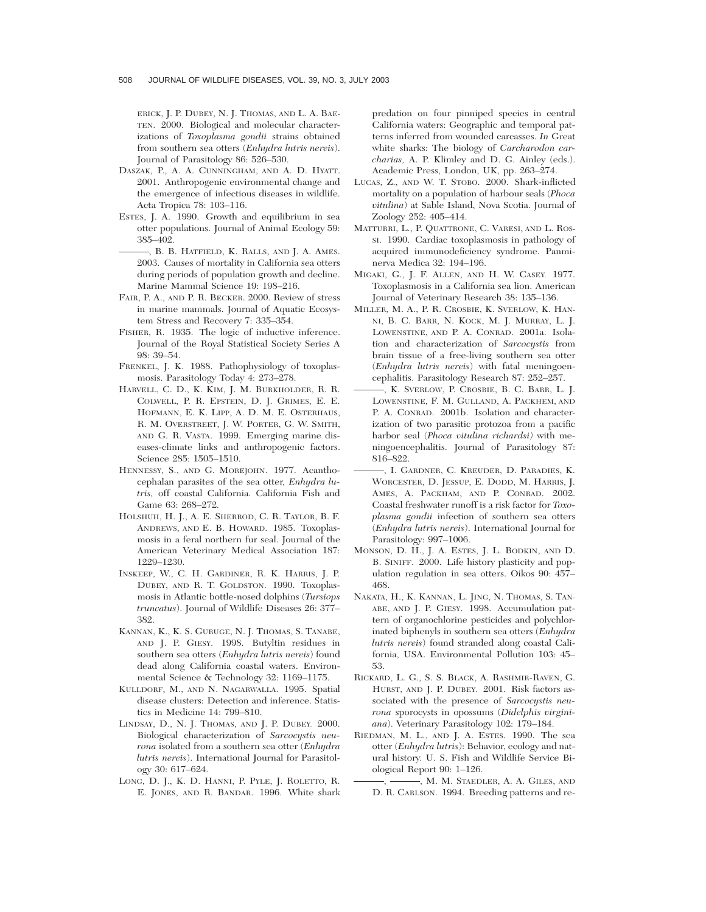ERICK, J. P. DUBEY, N. J. THOMAS, AND L. A. BAE-TEN. 2000. Biological and molecular characterizations of *Toxoplasma gondii* strains obtained from southern sea otters (*Enhydra lutris nereis*). Journal of Parasitology 86: 526–530.

- DASZAK, P., A. A. CUNNINGHAM, AND A. D. HYATT. 2001. Anthropogenic environmental change and the emergence of infectious diseases in wildlife. Acta Tropica 78: 103–116.
- ESTES, J. A. 1990. Growth and equilibrium in sea otter populations. Journal of Animal Ecology 59: 385–402.
- , B. B. HATFIELD, K. RALLS, AND J. A. AMES. 2003. Causes of mortality in California sea otters during periods of population growth and decline. Marine Mammal Science 19: 198–216.
- FAIR, P. A., AND P. R. BECKER. 2000. Review of stress in marine mammals. Journal of Aquatic Ecosystem Stress and Recovery 7: 335–354.
- FISHER, R. 1935. The logic of inductive inference. Journal of the Royal Statistical Society Series A 98: 39–54.
- FRENKEL, J. K. 1988. Pathophysiology of toxoplasmosis. Parasitology Today 4: 273–278.
- HARVELL, C. D., K. KIM, J. M. BURKHOLDER, R. R. COLWELL, P. R. EPSTEIN, D. J. GRIMES, E. E. HOFMANN, E. K. LIPP, A. D. M. E. OSTERHAUS, R. M. OVERSTREET, J. W. PORTER, G. W. SMITH, AND G. R. VASTA. 1999. Emerging marine diseases-climate links and anthropogenic factors. Science 285: 1505–1510.
- HENNESSY, S., AND G. MOREJOHN. 1977. Acanthocephalan parasites of the sea otter, *Enhydra lutris,* off coastal California. California Fish and Game 63: 268–272.
- HOLSHUH, H. J., A. E. SHERROD, C. R. TAYLOR, B. F. ANDREWS, AND E. B. HOWARD. 1985. Toxoplasmosis in a feral northern fur seal. Journal of the American Veterinary Medical Association 187: 1229–1230.
- INSKEEP, W., C. H. GARDINER, R. K. HARRIS, J. P. DUBEY, AND R. T. GOLDSTON. 1990. Toxoplasmosis in Atlantic bottle-nosed dolphins (*Tursiops truncatus*). Journal of Wildlife Diseases 26: 377– 382.
- KANNAN, K., K. S. GURUGE, N. J. THOMAS, S. TANABE, AND J. P. GIESY. 1998. Butyltin residues in southern sea otters (*Enhydra lutris nereis*) found dead along California coastal waters. Environmental Science & Technology 32: 1169–1175.
- KULLDORF, M., AND N. NAGARWALLA. 1995. Spatial disease clusters: Detection and inference. Statistics in Medicine 14: 799–810.
- LINDSAY, D., N. J. THOMAS, AND J. P. DUBEY. 2000. Biological characterization of *Sarcocystis neurona* isolated from a southern sea otter (*Enhydra lutris nereis*). International Journal for Parasitology 30: 617–624.
- LONG, D. J., K. D. HANNI, P. PYLE, J. ROLETTO, R. E. JONES, AND R. BANDAR. 1996. White shark

predation on four pinniped species in central California waters: Geographic and temporal patterns inferred from wounded carcasses. *In* Great white sharks: The biology of *Carcharodon carcharias,* A. P. Klimley and D. G. Ainley (eds.). Academic Press, London, UK, pp. 263–274.

- LUCAS, Z., AND W. T. STOBO. 2000. Shark-inflicted mortality on a population of harbour seals (*Phoca vitulina*) at Sable Island, Nova Scotia. Journal of Zoology 252: 405–414.
- MATTURRI, L., P. QUATTRONE, C. VARESI, AND L. ROS-SI. 1990. Cardiac toxoplasmosis in pathology of acquired immunodeficiency syndrome. Panminerva Medica 32: 194–196.
- MIGAKI, G., J. F. ALLEN, AND H. W. CASEY. 1977. Toxoplasmosis in a California sea lion. American Journal of Veterinary Research 38: 135–136.
- MILLER, M. A., P. R. CROSBIE, K. SVERLOW, K. HAN-NI, B. C. BARR, N. KOCK, M. J. MURRAY, L. J. LOWENSTINE, AND P. A. CONRAD. 2001a. Isolation and characterization of *Sarcocystis* from brain tissue of a free-living southern sea otter (*Enhydra lutris nereis*) with fatal meningoencephalitis. Parasitology Research 87: 252–257.
- , K. SVERLOW, P. CROSBIE, B. C. BARR, L. J. LOWENSTINE, F. M. GULLAND, A. PACKHEM, AND P. A. CONRAD. 2001b. Isolation and characterization of two parasitic protozoa from a pacific harbor seal (*Phoca vitulina richardsi)* with meningoencephalitis. Journal of Parasitology 87: 816–822.
- , I. GARDNER, C. KREUDER, D. PARADIES, K. WORCESTER, D. JESSUP, E. DODD, M. HARRIS, J. AMES, A. PACKHAM, AND P. CONRAD. 2002. Coastal freshwater runoff is a risk factor for *Toxoplasma gondii* infection of southern sea otters (*Enhydra lutris nereis*). International Journal for Parasitology: 997–1006.
- MONSON, D. H., J. A. ESTES, J. L. BODKIN, AND D. B. SINIFF. 2000. Life history plasticity and population regulation in sea otters. Oikos 90: 457– 468.
- NAKATA, H., K. KANNAN, L. JING, N. THOMAS, S. TAN-ABE, AND J. P. GIESY. 1998. Accumulation pattern of organochlorine pesticides and polychlorinated biphenyls in southern sea otters (*Enhydra lutris nereis*) found stranded along coastal California, USA. Environmental Pollution 103: 45– 53.
- RICKARD, L. G., S. S. BLACK, A. RASHMIR-RAVEN, G. HURST, AND J. P. DUBEY. 2001. Risk factors associated with the presence of *Sarcocystis neurona* sporocysts in opossums (*Didelphis virginiana*). Veterinary Parasitology 102: 179–184.
- RIEDMAN, M. L., AND J. A. ESTES. 1990. The sea otter (*Enhydra lutris*): Behavior, ecology and natural history. U. S. Fish and Wildlife Service Biological Report 90: 1–126.
- -, M. M. STAEDLER, A. A. GILES, AND D. R. CARLSON. 1994. Breeding patterns and re-